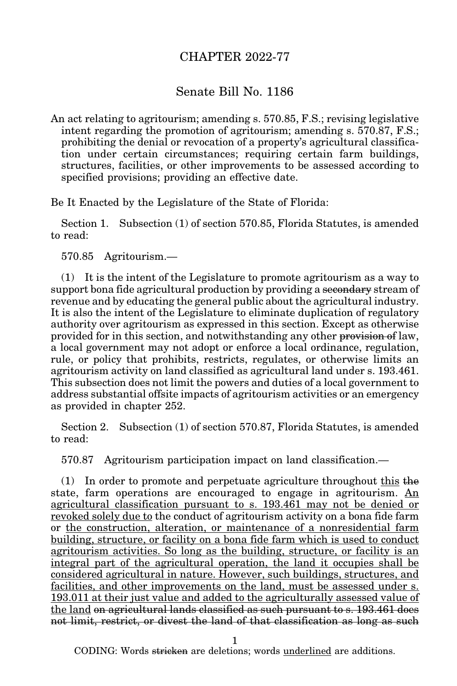## CHAPTER 2022-77

## Senate Bill No. 1186

An act relating to agritourism; amending s. 570.85, F.S.; revising legislative intent regarding the promotion of agritourism; amending s. 570.87, F.S.; prohibiting the denial or revocation of a property's agricultural classification under certain circumstances; requiring certain farm buildings, structures, facilities, or other improvements to be assessed according to specified provisions; providing an effective date.

Be It Enacted by the Legislature of the State of Florida:

Section 1. Subsection (1) of section 570.85, Florida Statutes, is amended to read:

570.85 Agritourism.—

(1) It is the intent of the Legislature to promote agritourism as a way to support bona fide agricultural production by providing a secondary stream of revenue and by educating the general public about the agricultural industry. It is also the intent of the Legislature to eliminate duplication of regulatory authority over agritourism as expressed in this section. Except as otherwise provided for in this section, and notwithstanding any other provision of law, a local government may not adopt or enforce a local ordinance, regulation, rule, or policy that prohibits, restricts, regulates, or otherwise limits an agritourism activity on land classified as agricultural land under s. 193.461. This subsection does not limit the powers and duties of a local government to address substantial offsite impacts of agritourism activities or an emergency as provided in chapter 252.

Section 2. Subsection (1) of section 570.87, Florida Statutes, is amended to read:

570.87 Agritourism participation impact on land classification.—

 $(1)$  In order to promote and perpetuate agriculture throughout this the state, farm operations are encouraged to engage in agritourism. An agricultural classification pursuant to s. 193.461 may not be denied or revoked solely due to the conduct of agritourism activity on a bona fide farm or the construction, alteration, or maintenance of a nonresidential farm building, structure, or facility on a bona fide farm which is used to conduct agritourism activities. So long as the building, structure, or facility is an integral part of the agricultural operation, the land it occupies shall be considered agricultural in nature. However, such buildings, structures, and facilities, and other improvements on the land, must be assessed under s. 193.011 at their just value and added to the agriculturally assessed value of the land on agricultural lands classified as such pursuant to s. 193.461 does not limit, restrict, or divest the land of that classification as long as such

1

CODING: Words stricken are deletions; words underlined are additions.